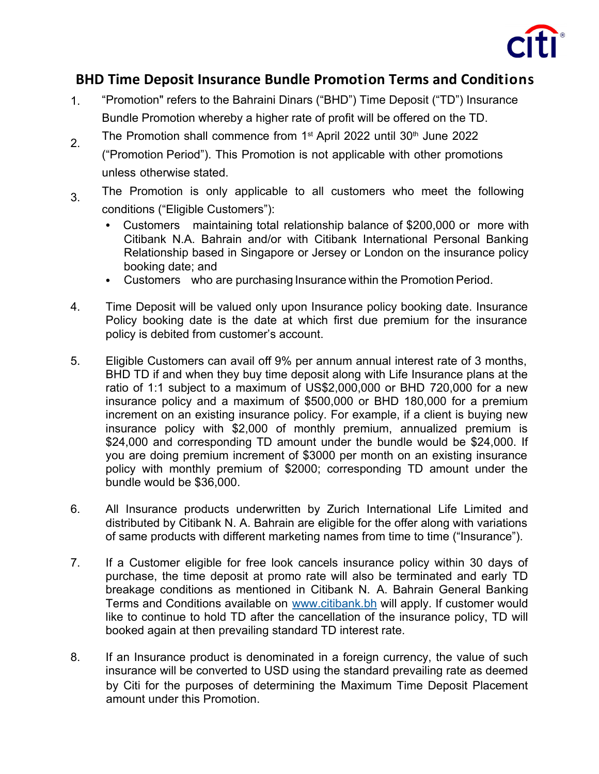

## **BHD Time Deposit Insurance Bundle Promotion Terms and Conditions**

- 1. "Promotion" refers to the Bahraini Dinars ("BHD") Time Deposit ("TD") Insurance Bundle Promotion whereby a higher rate of profit will be offered on the TD.
- 2. The Promotion shall commence from 1st April 2022 until 30<sup>th</sup> June 2022 ("Promotion Period"). This Promotion is not applicable with other promotions unless otherwise stated.
- 3. The Promotion is only applicable to all customers who meet the following conditions ("Eligible Customers"):
	- Customers maintaining total relationship balance of \$200,000 or more with Citibank N.A. Bahrain and/or with Citibank International Personal Banking Relationship based in Singapore or Jersey or London on the insurance policy booking date; and
	- Customers who are purchasing Insurance within the Promotion Period.
- 4. Time Deposit will be valued only upon Insurance policy booking date. Insurance Policy booking date is the date at which first due premium for the insurance policy is debited from customer's account.
- 5. Eligible Customers can avail off 9% per annum annual interest rate of 3 months, BHD TD if and when they buy time deposit along with Life Insurance plans at the ratio of 1:1 subject to a maximum of US\$2,000,000 or BHD 720,000 for a new insurance policy and a maximum of \$500,000 or BHD 180,000 for a premium increment on an existing insurance policy. For example, if a client is buying new insurance policy with \$2,000 of monthly premium, annualized premium is \$24,000 and corresponding TD amount under the bundle would be \$24,000. If you are doing premium increment of \$3000 per month on an existing insurance policy with monthly premium of \$2000; corresponding TD amount under the bundle would be \$36,000.
- 6. All Insurance products underwritten by Zurich International Life Limited and distributed by Citibank N. A. Bahrain are eligible for the offer along with variations of same products with different marketing names from time to time ("Insurance").
- 7. If a Customer eligible for free look cancels insurance policy within 30 days of purchase, the time deposit at promo rate will also be terminated and early TD breakage conditions as mentioned in Citibank N. A. Bahrain General Banking Terms and Conditions available on www.citibank.bh will apply. If customer would like to continue to hold TD after the cancellation of the insurance policy, TD will booked again at then prevailing standard TD interest rate.
- 8. If an Insurance product is denominated in a foreign currency, the value of such insurance will be converted to USD using the standard prevailing rate as deemed by Citi for the purposes of determining the Maximum Time Deposit Placement amount under this Promotion.